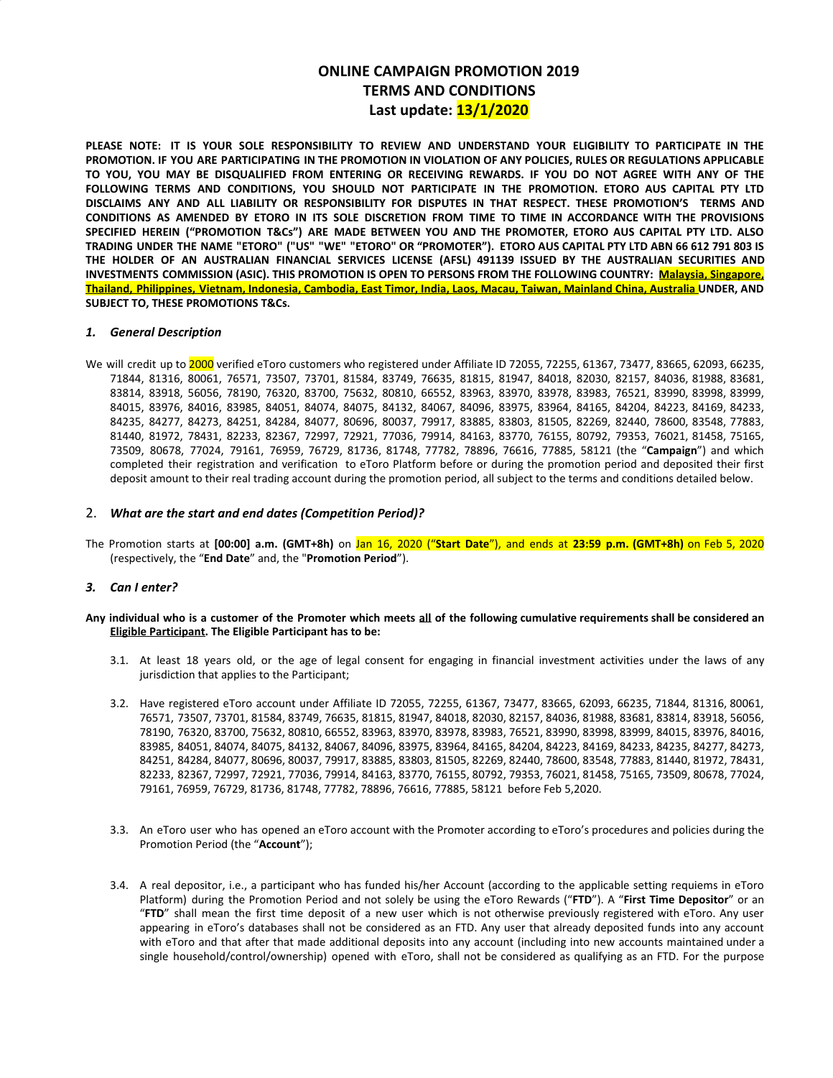# **ONLINE CAMPAIGN PROMOTION 2019 TERMS AND CONDITIONS Last update: 13/1/2020**

**PLEASE NOTE: IT IS YOUR SOLE RESPONSIBILITY TO REVIEW AND UNDERSTAND YOUR ELIGIBILITY TO PARTICIPATE IN THE** PROMOTION. IF YOU ARE PARTICIPATING IN THE PROMOTION IN VIOLATION OF ANY POLICIES, RULES OR REGULATIONS APPLICABLE TO YOU, YOU MAY BE DISQUALIFIED FROM ENTERING OR RECEIVING REWARDS. IF YOU DO NOT AGREE WITH ANY OF THE **FOLLOWING TERMS AND CONDITIONS, YOU SHOULD NOT PARTICIPATE IN THE PROMOTION. ETORO AUS CAPITAL PTY LTD DISCLAIMS ANY AND ALL LIABILITY OR RESPONSIBILITY FOR DISPUTES IN THAT RESPECT. THESE PROMOTION'S TERMS AND** CONDITIONS AS AMENDED BY ETORO IN ITS SOLE DISCRETION FROM TIME TO TIME IN ACCORDANCE WITH THE PROVISIONS SPECIFIED HEREIN ("PROMOTION T&Cs") ARE MADE BETWEEN YOU AND THE PROMOTER, ETORO AUS CAPITAL PTY LTD. ALSO TRADING UNDER THE NAME "ETORO" ("US" "WE" "ETORO" OR "PROMOTER"). ETORO AUS CAPITAL PTY LTD ABN 66 612 791 803 IS **THE HOLDER OF AN AUSTRALIAN FINANCIAL SERVICES LICENSE (AFSL) 491139 ISSUED BY THE AUSTRALIAN SECURITIES AND INVESTMENTS COMMISSION (ASIC). THIS PROMOTION IS OPEN TO PERSONS FROM THE FOLLOWING COUNTRY: Malaysia, Singapore,** Thailand, Philippines, Vietnam, Indonesia, Cambodia, East Timor, India, Laos, Macau, Taiwan, Mainland China, Australia UNDER, AND **SUBJECT TO, THESE PROMOTIONS T&Cs.**

## *1. General Description*

We will credit up to 2000 verified eToro customers who registered under Affiliate ID 72055, 72255, 61367, 73477, 83665, 62093, 66235, 71844, 81316, 80061, 76571, 73507, 73701, 81584, 83749, 76635, 81815, 81947, 84018, 82030, 82157, 84036, 81988, 83681, 83814, 83918, 56056, 78190, 76320, 83700, 75632, 80810, 66552, 83963, 83970, 83978, 83983, 76521, 83990, 83998, 83999, 84015, 83976, 84016, 83985, 84051, 84074, 84075, 84132, 84067, 84096, 83975, 83964, 84165, 84204, 84223, 84169, 84233, 84235, 84277, 84273, 84251, 84284, 84077, 80696, 80037, 79917, 83885, 83803, 81505, 82269, 82440, 78600, 83548, 77883, 81440, 81972, 78431, 82233, 82367, 72997, 72921, 77036, 79914, 84163, 83770, 76155, 80792, 79353, 76021, 81458, 75165, 73509, 80678, 77024, 79161, 76959, 76729, 81736, 81748, 77782, 78896, 76616, 77885, 58121 (the "**Campaign**") and which completed their registration and verification to eToro Platform before or during the promotion period and deposited their first deposit amount to their real trading account during the promotion period, all subject to the terms and conditions detailed below.

## 2. *What are the start and end dates (Competition Period)?*

The Promotion starts at **[00:00] a.m. (GMT+8h)** on Jan 16, 2020 ("**Start Date**"), and ends at **23:59 p.m. (GMT+8h)** on Feb 5, 2020 (respectively, the "**End Date**" and, the "**Promotion Period**").

### *3. Can I enter?*

### Any individual who is a customer of the Promoter which meets all of the following cumulative requirements shall be considered an **Eligible Participant. The Eligible Participant has to be:**

- 3.1. At least 18 years old, or the age of legal consent for engaging in financial investment activities under the laws of any jurisdiction that applies to the Participant;
- 3.2. Have registered eToro account under Affiliate ID 72055, 72255, 61367, 73477, 83665, 62093, 66235, 71844, 81316, 80061, 76571, 73507, 73701, 81584, 83749, 76635, 81815, 81947, 84018, 82030, 82157, 84036, 81988, 83681, 83814, 83918, 56056, 78190, 76320, 83700, 75632, 80810, 66552, 83963, 83970, 83978, 83983, 76521, 83990, 83998, 83999, 84015, 83976, 84016, 83985, 84051, 84074, 84075, 84132, 84067, 84096, 83975, 83964, 84165, 84204, 84223, 84169, 84233, 84235, 84277, 84273, 84251, 84284, 84077, 80696, 80037, 79917, 83885, 83803, 81505, 82269, 82440, 78600, 83548, 77883, 81440, 81972, 78431, 82233, 82367, 72997, 72921, 77036, 79914, 84163, 83770, 76155, 80792, 79353, 76021, 81458, 75165, 73509, 80678, 77024, 79161, 76959, 76729, 81736, 81748, 77782, 78896, 76616, 77885, 58121 before Feb 5,2020.
- 3.3. An eToro user who has opened an eToro account with the Promoter according to eToro's procedures and policies during the Promotion Period (the "**Account**");
- 3.4. A real depositor, i.e., a participant who has funded his/her Account (according to the applicable setting requiems in eToro Platform) during the Promotion Period and not solely be using the eToro Rewards ("**FTD**"). A "**First Time Depositor**" or an "**FTD**" shall mean the first time deposit of a new user which is not otherwise previously registered with eToro. Any user appearing in eToro's databases shall not be considered as an FTD. Any user that already deposited funds into any account with eToro and that after that made additional deposits into any account (including into new accounts maintained under a single household/control/ownership) opened with eToro, shall not be considered as qualifying as an FTD. For the purpose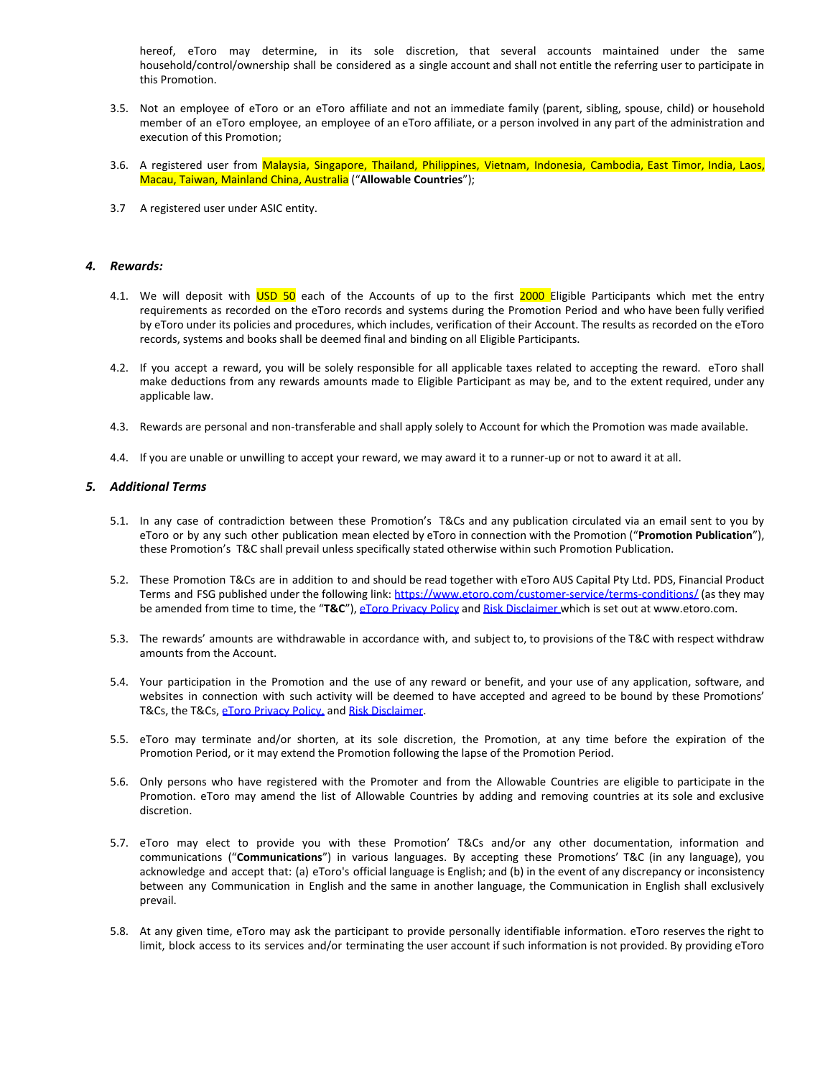hereof, eToro may determine, in its sole discretion, that several accounts maintained under the same household/control/ownership shall be considered as a single account and shall not entitle the referring user to participate in this Promotion.

- 3.5. Not an employee of eToro or an eToro affiliate and not an immediate family (parent, sibling, spouse, child) or household member of an eToro employee, an employee of an eToro affiliate, or a person involved in any part of the administration and execution of this Promotion;
- 3.6. A registered user from Malaysia, Singapore, Thailand, Philippines, Vietnam, Indonesia, Cambodia, East Timor, India, Laos, Macau, Taiwan, Mainland China, Australia ("**Allowable Countries**");
- 3.7 A registered user under ASIC entity.

#### *4. Rewards:*

- 4.1. We will deposit with USD 50 each of the Accounts of up to the first 2000 Eligible Participants which met the entry requirements as recorded on the eToro records and systems during the Promotion Period and who have been fully verified by eToro under its policies and procedures, which includes, verification of their Account. The results as recorded on the eToro records, systems and books shall be deemed final and binding on all Eligible Participants.
- 4.2. If you accept a reward, you will be solely responsible for all applicable taxes related to accepting the reward. eToro shall make deductions from any rewards amounts made to Eligible Participant as may be, and to the extent required, under any applicable law.
- 4.3. Rewards are personal and non-transferable and shall apply solely to Account for which the Promotion was made available.
- 4.4. If you are unable or unwilling to accept your reward, we may award it to a runner-up or not to award it at all.

### *5. Additional Terms*

- 5.1. In any case of contradiction between these Promotion's T&Cs and any publication circulated via an email sent to you by eToro or by any such other publication mean elected by eToro in connection with the Promotion ("**Promotion Publication**"), these Promotion's T&C shall prevail unless specifically stated otherwise within such Promotion Publication.
- 5.2. These Promotion T&Cs are in addition to and should be read together with eToro AUS Capital Pty Ltd. PDS, Financial Product Terms and FSG published under the following link: <https://www.etoro.com/customer-service/terms-conditions/> (as they may be amended from time to time, the "**T&C**"), [eToro Privacy Policy](https://www.etoro.com/en/customer-service/privacy/) and [Risk Disclaimer](http://www.etoro.com/en/customer-service/risk-disclosure/) which is set out at [www.etoro.com](http://www.etoro.com/).
- 5.3. The rewards' amounts are withdrawable in accordance with, and subject to, to provisions of the T&C with respect withdraw amounts from the Account.
- 5.4. Your participation in the Promotion and the use of any reward or benefit, and your use of any application, software, and websites in connection with such activity will be deemed to have accepted and agreed to be bound by these Promotions' T&Cs, the T&Cs, [eToro Privacy Policy](https://www.etoro.com/en/customer-service/privacy/), and [Risk Disclaimer](http://www.etoro.com/en/customer-service/risk-disclosure/).
- 5.5. eToro may terminate and/or shorten, at its sole discretion, the Promotion, at any time before the expiration of the Promotion Period, or it may extend the Promotion following the lapse of the Promotion Period.
- 5.6. Only persons who have registered with the Promoter and from the Allowable Countries are eligible to participate in the Promotion. eToro may amend the list of Allowable Countries by adding and removing countries at its sole and exclusive discretion.
- 5.7. eToro may elect to provide you with these Promotion' T&Cs and/or any other documentation, information and communications ("**Communications**") in various languages. By accepting these Promotions' T&C (in any language), you acknowledge and accept that: (a) eToro's official language is English; and (b) in the event of any discrepancy or inconsistency between any Communication in English and the same in another language, the Communication in English shall exclusively prevail.
- 5.8. At any given time, eToro may ask the participant to provide personally identifiable information. eToro reserves the right to limit, block access to its services and/or terminating the user account if such information is not provided. By providing eToro